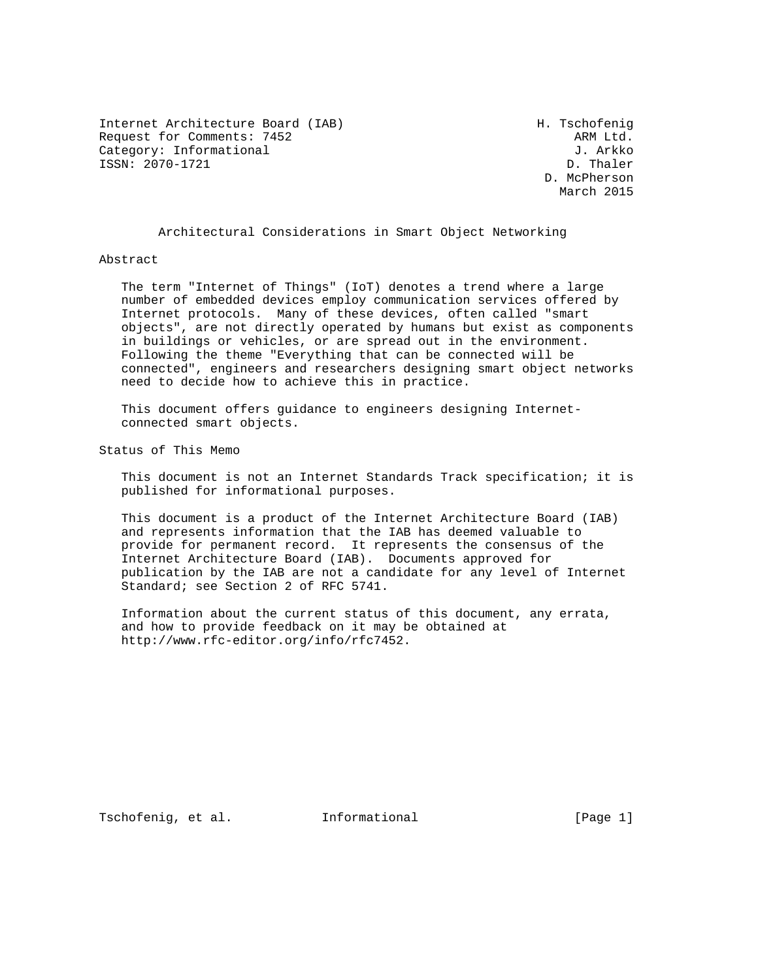Internet Architecture Board (IAB) H. Tschofenig Request for Comments: 7452 ARM Ltd. Category: Informational J. Arkko J. Arkko J. Arkko J. Arkko J. Arkko J. Arkko J. Arkko J. Arkko J. Arkko J. Arkko J. Arkko J. Arkko J. Arkko J. Arkko J. Arkko J. Arkko J. Arkko J. Arkko J. Arkko J. Arkko J. Arkko J. Arkko  $ISSN: 2070-1721$ 

 D. McPherson March 2015

Architectural Considerations in Smart Object Networking

#### Abstract

 The term "Internet of Things" (IoT) denotes a trend where a large number of embedded devices employ communication services offered by Internet protocols. Many of these devices, often called "smart objects", are not directly operated by humans but exist as components in buildings or vehicles, or are spread out in the environment. Following the theme "Everything that can be connected will be connected", engineers and researchers designing smart object networks need to decide how to achieve this in practice.

 This document offers guidance to engineers designing Internet connected smart objects.

Status of This Memo

 This document is not an Internet Standards Track specification; it is published for informational purposes.

 This document is a product of the Internet Architecture Board (IAB) and represents information that the IAB has deemed valuable to provide for permanent record. It represents the consensus of the Internet Architecture Board (IAB). Documents approved for publication by the IAB are not a candidate for any level of Internet Standard; see Section 2 of RFC 5741.

 Information about the current status of this document, any errata, and how to provide feedback on it may be obtained at http://www.rfc-editor.org/info/rfc7452.

Tschofenig, et al. 1nformational 1999 [Page 1]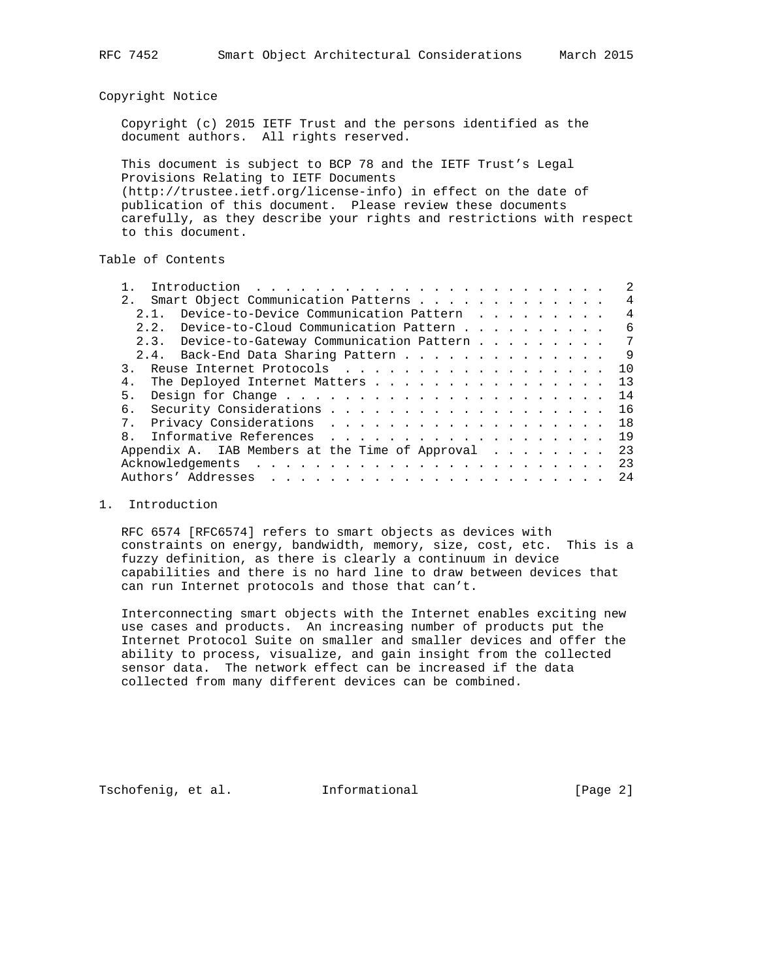Copyright Notice

 Copyright (c) 2015 IETF Trust and the persons identified as the document authors. All rights reserved.

 This document is subject to BCP 78 and the IETF Trust's Legal Provisions Relating to IETF Documents (http://trustee.ietf.org/license-info) in effect on the date of publication of this document. Please review these documents carefully, as they describe your rights and restrictions with respect to this document.

Table of Contents

| Smart Object Communication Patterns<br>2.1      | 4   |
|-------------------------------------------------|-----|
| Device-to-Device Communication Pattern<br>2 1   | 4   |
| Device-to-Cloud Communication Pattern<br>2.2.   | 6   |
| 2.3. Device-to-Gateway Communication Pattern    | 7   |
| 2.4. Back-End Data Sharing Pattern              | -9  |
| Reuse Internet Protocols                        | 1 O |
| 4.<br>The Deployed Internet Matters             | 13  |
| 5.                                              | 14  |
| б.                                              | 16  |
|                                                 | 18  |
| $\mathsf{R}$                                    | 19  |
| Appendix A. IAB Members at the Time of Approval | 23  |
|                                                 | 23  |
|                                                 | 24  |
|                                                 |     |

#### 1. Introduction

 RFC 6574 [RFC6574] refers to smart objects as devices with constraints on energy, bandwidth, memory, size, cost, etc. This is a fuzzy definition, as there is clearly a continuum in device capabilities and there is no hard line to draw between devices that can run Internet protocols and those that can't.

 Interconnecting smart objects with the Internet enables exciting new use cases and products. An increasing number of products put the Internet Protocol Suite on smaller and smaller devices and offer the ability to process, visualize, and gain insight from the collected sensor data. The network effect can be increased if the data collected from many different devices can be combined.

Tschofenig, et al. Informational [Page 2]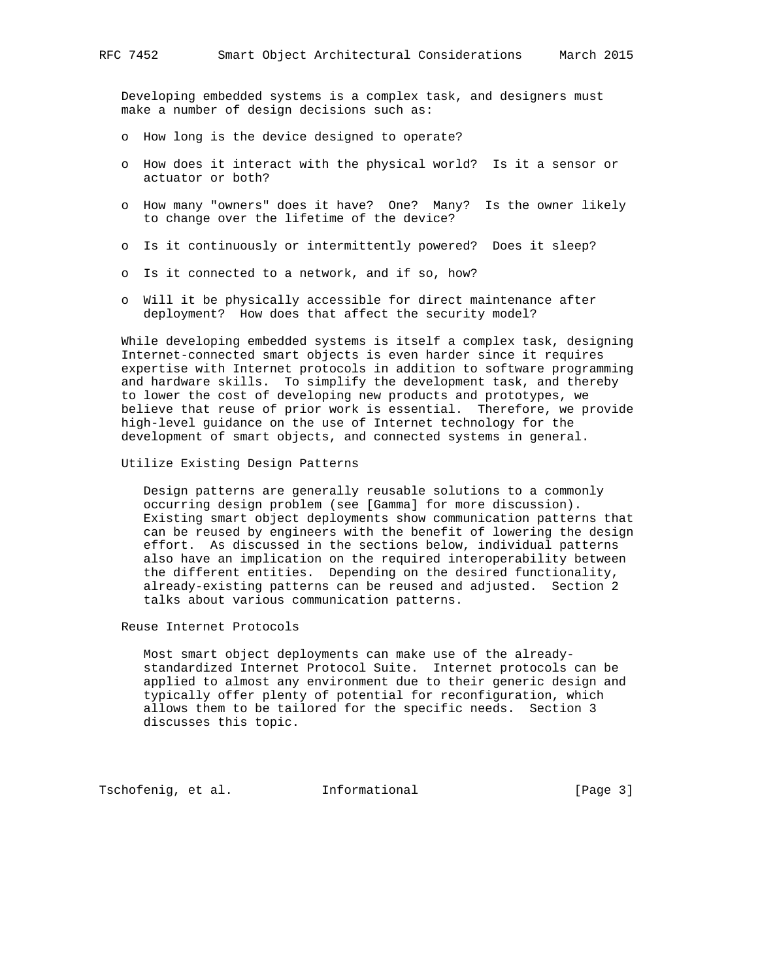Developing embedded systems is a complex task, and designers must make a number of design decisions such as:

- o How long is the device designed to operate?
- o How does it interact with the physical world? Is it a sensor or actuator or both?
- o How many "owners" does it have? One? Many? Is the owner likely to change over the lifetime of the device?
- o Is it continuously or intermittently powered? Does it sleep?
- o Is it connected to a network, and if so, how?
- o Will it be physically accessible for direct maintenance after deployment? How does that affect the security model?

 While developing embedded systems is itself a complex task, designing Internet-connected smart objects is even harder since it requires expertise with Internet protocols in addition to software programming and hardware skills. To simplify the development task, and thereby to lower the cost of developing new products and prototypes, we believe that reuse of prior work is essential. Therefore, we provide high-level guidance on the use of Internet technology for the development of smart objects, and connected systems in general.

## Utilize Existing Design Patterns

 Design patterns are generally reusable solutions to a commonly occurring design problem (see [Gamma] for more discussion). Existing smart object deployments show communication patterns that can be reused by engineers with the benefit of lowering the design effort. As discussed in the sections below, individual patterns also have an implication on the required interoperability between the different entities. Depending on the desired functionality, already-existing patterns can be reused and adjusted. Section 2 talks about various communication patterns.

Reuse Internet Protocols

 Most smart object deployments can make use of the already standardized Internet Protocol Suite. Internet protocols can be applied to almost any environment due to their generic design and typically offer plenty of potential for reconfiguration, which allows them to be tailored for the specific needs. Section 3 discusses this topic.

Tschofenig, et al. Informational [Page 3]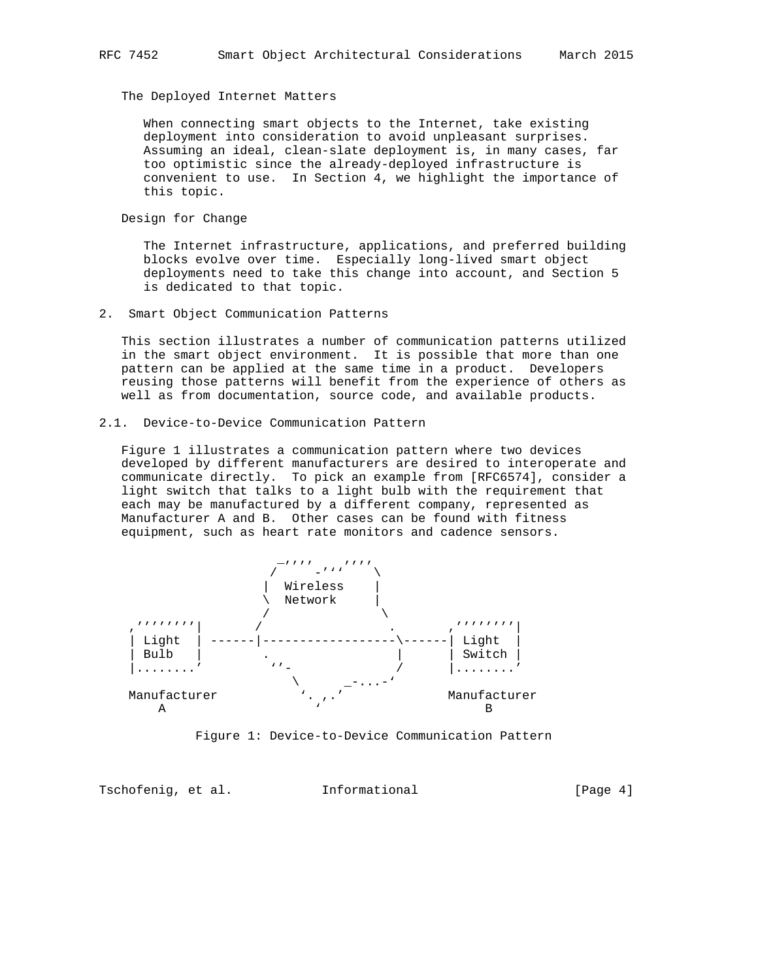The Deployed Internet Matters

 When connecting smart objects to the Internet, take existing deployment into consideration to avoid unpleasant surprises. Assuming an ideal, clean-slate deployment is, in many cases, far too optimistic since the already-deployed infrastructure is convenient to use. In Section 4, we highlight the importance of this topic.

Design for Change

 The Internet infrastructure, applications, and preferred building blocks evolve over time. Especially long-lived smart object deployments need to take this change into account, and Section 5 is dedicated to that topic.

2. Smart Object Communication Patterns

 This section illustrates a number of communication patterns utilized in the smart object environment. It is possible that more than one pattern can be applied at the same time in a product. Developers reusing those patterns will benefit from the experience of others as well as from documentation, source code, and available products.

2.1. Device-to-Device Communication Pattern

 Figure 1 illustrates a communication pattern where two devices developed by different manufacturers are desired to interoperate and communicate directly. To pick an example from [RFC6574], consider a light switch that talks to a light bulb with the requirement that each may be manufactured by a different company, represented as Manufacturer A and B. Other cases can be found with fitness equipment, such as heart rate monitors and cadence sensors.



Figure 1: Device-to-Device Communication Pattern

Tschofenig, et al. Informational [Page 4]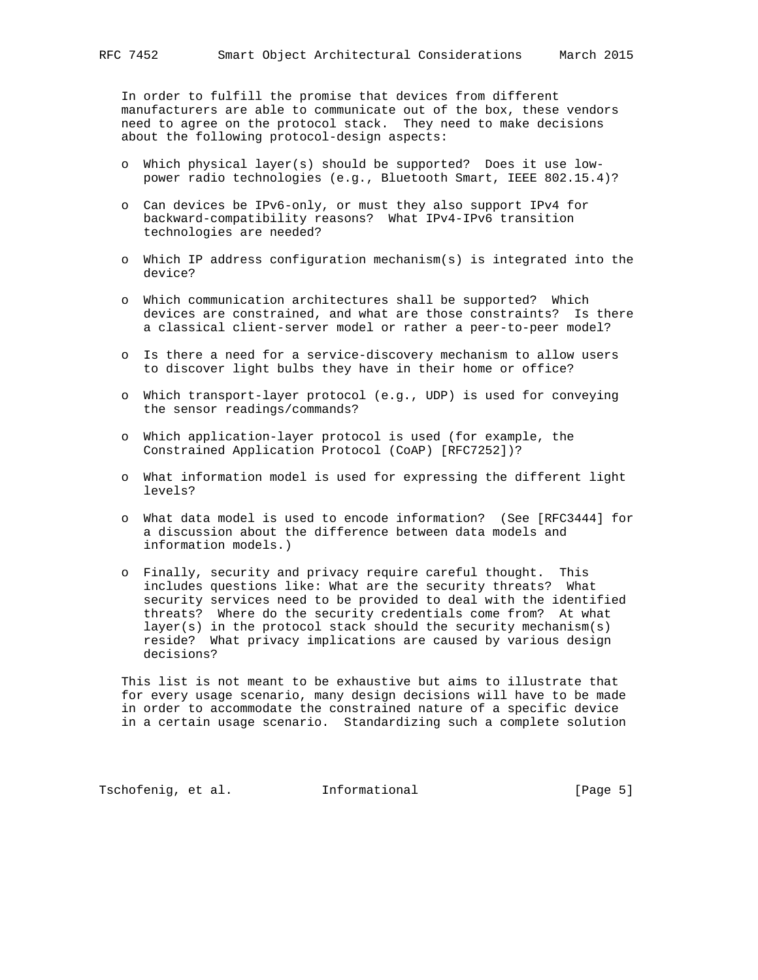In order to fulfill the promise that devices from different manufacturers are able to communicate out of the box, these vendors need to agree on the protocol stack. They need to make decisions about the following protocol-design aspects:

- o Which physical layer(s) should be supported? Does it use low power radio technologies (e.g., Bluetooth Smart, IEEE 802.15.4)?
- o Can devices be IPv6-only, or must they also support IPv4 for backward-compatibility reasons? What IPv4-IPv6 transition technologies are needed?
- o Which IP address configuration mechanism(s) is integrated into the device?
- o Which communication architectures shall be supported? Which devices are constrained, and what are those constraints? Is there a classical client-server model or rather a peer-to-peer model?
- o Is there a need for a service-discovery mechanism to allow users to discover light bulbs they have in their home or office?
- o Which transport-layer protocol (e.g., UDP) is used for conveying the sensor readings/commands?
- o Which application-layer protocol is used (for example, the Constrained Application Protocol (CoAP) [RFC7252])?
- o What information model is used for expressing the different light levels?
- o What data model is used to encode information? (See [RFC3444] for a discussion about the difference between data models and information models.)
- o Finally, security and privacy require careful thought. This includes questions like: What are the security threats? What security services need to be provided to deal with the identified threats? Where do the security credentials come from? At what layer(s) in the protocol stack should the security mechanism(s) reside? What privacy implications are caused by various design decisions?

 This list is not meant to be exhaustive but aims to illustrate that for every usage scenario, many design decisions will have to be made in order to accommodate the constrained nature of a specific device in a certain usage scenario. Standardizing such a complete solution

Tschofenig, et al. Informational [Page 5]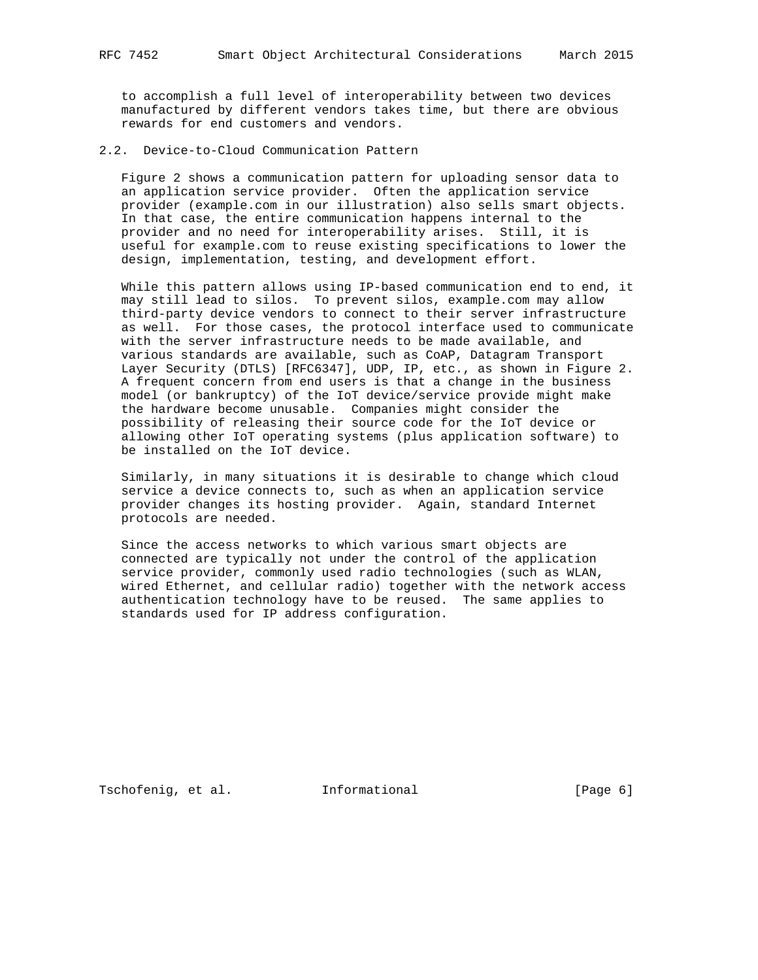to accomplish a full level of interoperability between two devices manufactured by different vendors takes time, but there are obvious rewards for end customers and vendors.

2.2. Device-to-Cloud Communication Pattern

 Figure 2 shows a communication pattern for uploading sensor data to an application service provider. Often the application service provider (example.com in our illustration) also sells smart objects. In that case, the entire communication happens internal to the provider and no need for interoperability arises. Still, it is useful for example.com to reuse existing specifications to lower the design, implementation, testing, and development effort.

 While this pattern allows using IP-based communication end to end, it may still lead to silos. To prevent silos, example.com may allow third-party device vendors to connect to their server infrastructure as well. For those cases, the protocol interface used to communicate with the server infrastructure needs to be made available, and various standards are available, such as CoAP, Datagram Transport Layer Security (DTLS) [RFC6347], UDP, IP, etc., as shown in Figure 2. A frequent concern from end users is that a change in the business model (or bankruptcy) of the IoT device/service provide might make the hardware become unusable. Companies might consider the possibility of releasing their source code for the IoT device or allowing other IoT operating systems (plus application software) to be installed on the IoT device.

 Similarly, in many situations it is desirable to change which cloud service a device connects to, such as when an application service provider changes its hosting provider. Again, standard Internet protocols are needed.

 Since the access networks to which various smart objects are connected are typically not under the control of the application service provider, commonly used radio technologies (such as WLAN, wired Ethernet, and cellular radio) together with the network access authentication technology have to be reused. The same applies to standards used for IP address configuration.

Tschofenig, et al. Informational [Page 6]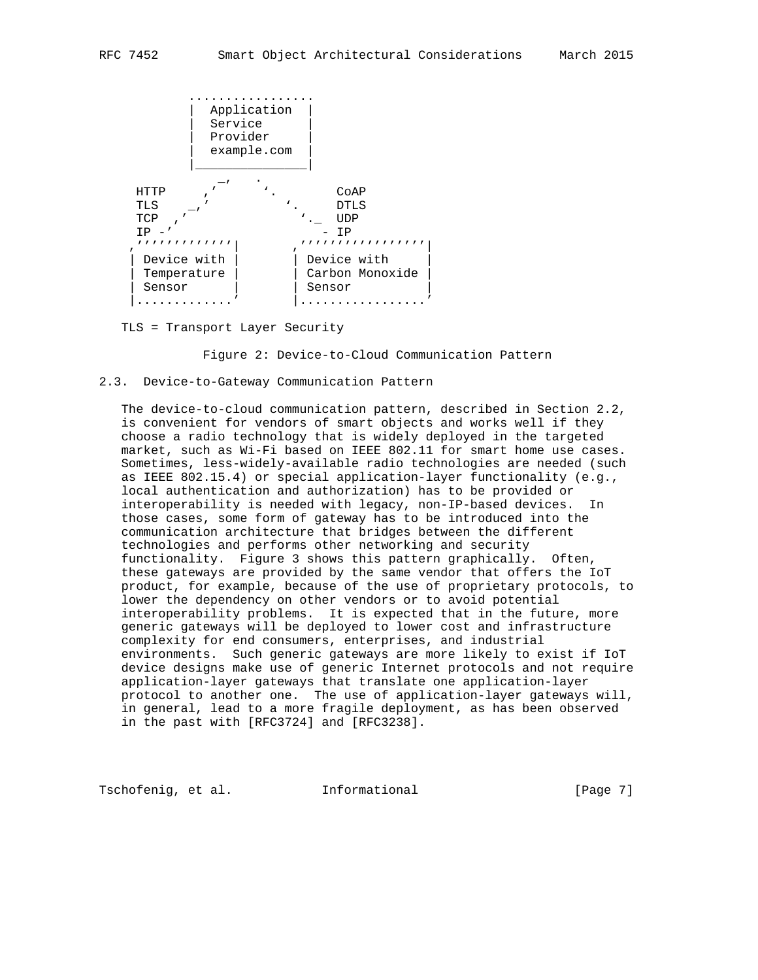

TLS = Transport Layer Security

Figure 2: Device-to-Cloud Communication Pattern

# 2.3. Device-to-Gateway Communication Pattern

 The device-to-cloud communication pattern, described in Section 2.2, is convenient for vendors of smart objects and works well if they choose a radio technology that is widely deployed in the targeted market, such as Wi-Fi based on IEEE 802.11 for smart home use cases. Sometimes, less-widely-available radio technologies are needed (such as IEEE 802.15.4) or special application-layer functionality (e.g., local authentication and authorization) has to be provided or interoperability is needed with legacy, non-IP-based devices. In those cases, some form of gateway has to be introduced into the communication architecture that bridges between the different technologies and performs other networking and security functionality. Figure 3 shows this pattern graphically. Often, these gateways are provided by the same vendor that offers the IoT product, for example, because of the use of proprietary protocols, to lower the dependency on other vendors or to avoid potential interoperability problems. It is expected that in the future, more generic gateways will be deployed to lower cost and infrastructure complexity for end consumers, enterprises, and industrial environments. Such generic gateways are more likely to exist if IoT device designs make use of generic Internet protocols and not require application-layer gateways that translate one application-layer protocol to another one. The use of application-layer gateways will, in general, lead to a more fragile deployment, as has been observed in the past with [RFC3724] and [RFC3238].

Tschofenig, et al. Informational [Page 7]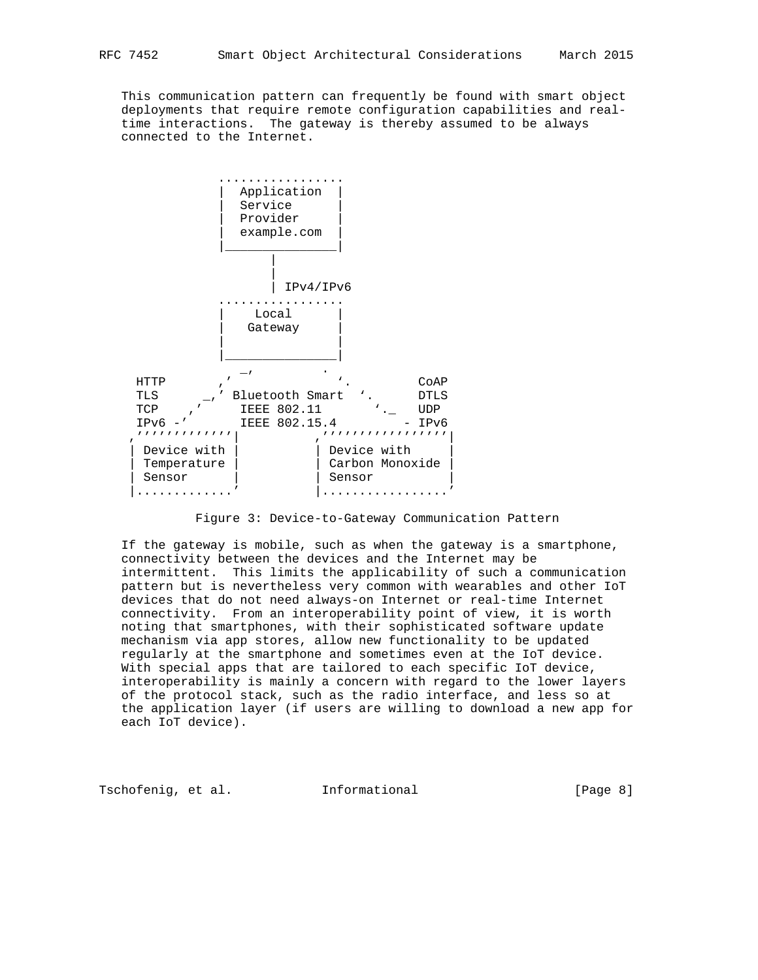This communication pattern can frequently be found with smart object deployments that require remote configuration capabilities and real time interactions. The gateway is thereby assumed to be always connected to the Internet.



Figure 3: Device-to-Gateway Communication Pattern

 If the gateway is mobile, such as when the gateway is a smartphone, connectivity between the devices and the Internet may be intermittent. This limits the applicability of such a communication pattern but is nevertheless very common with wearables and other IoT devices that do not need always-on Internet or real-time Internet connectivity. From an interoperability point of view, it is worth noting that smartphones, with their sophisticated software update mechanism via app stores, allow new functionality to be updated regularly at the smartphone and sometimes even at the IoT device. With special apps that are tailored to each specific IoT device, interoperability is mainly a concern with regard to the lower layers of the protocol stack, such as the radio interface, and less so at the application layer (if users are willing to download a new app for each IoT device).

Tschofenig, et al. Informational [Page 8]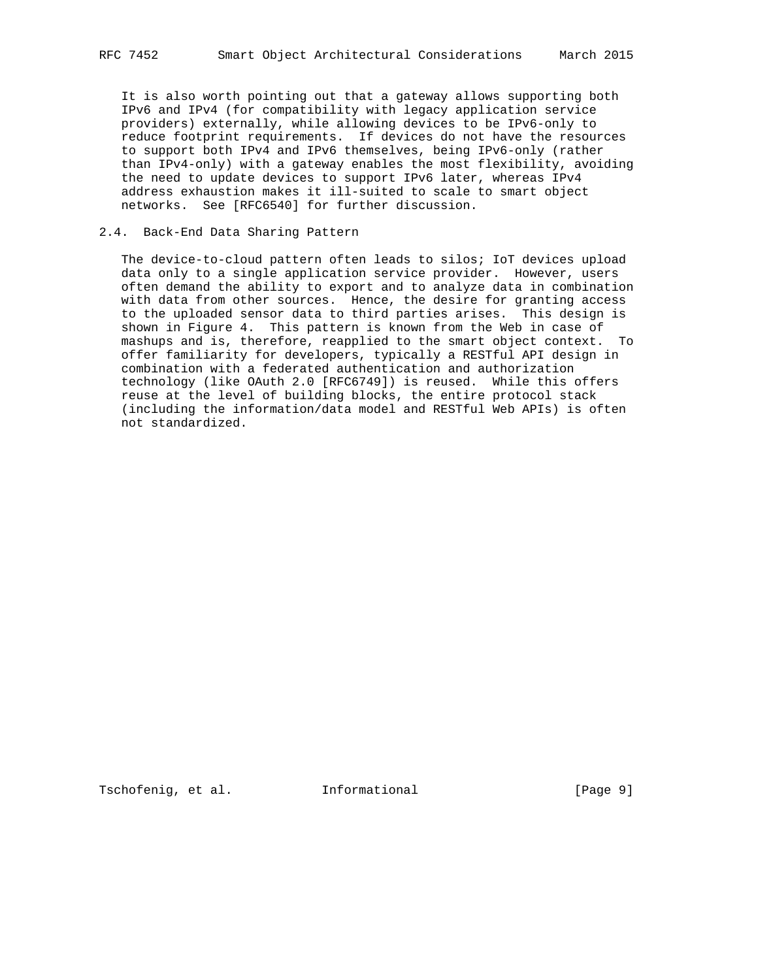It is also worth pointing out that a gateway allows supporting both IPv6 and IPv4 (for compatibility with legacy application service providers) externally, while allowing devices to be IPv6-only to reduce footprint requirements. If devices do not have the resources to support both IPv4 and IPv6 themselves, being IPv6-only (rather than IPv4-only) with a gateway enables the most flexibility, avoiding the need to update devices to support IPv6 later, whereas IPv4 address exhaustion makes it ill-suited to scale to smart object networks. See [RFC6540] for further discussion.

# 2.4. Back-End Data Sharing Pattern

 The device-to-cloud pattern often leads to silos; IoT devices upload data only to a single application service provider. However, users often demand the ability to export and to analyze data in combination with data from other sources. Hence, the desire for granting access to the uploaded sensor data to third parties arises. This design is shown in Figure 4. This pattern is known from the Web in case of mashups and is, therefore, reapplied to the smart object context. To offer familiarity for developers, typically a RESTful API design in combination with a federated authentication and authorization technology (like OAuth 2.0 [RFC6749]) is reused. While this offers reuse at the level of building blocks, the entire protocol stack (including the information/data model and RESTful Web APIs) is often not standardized.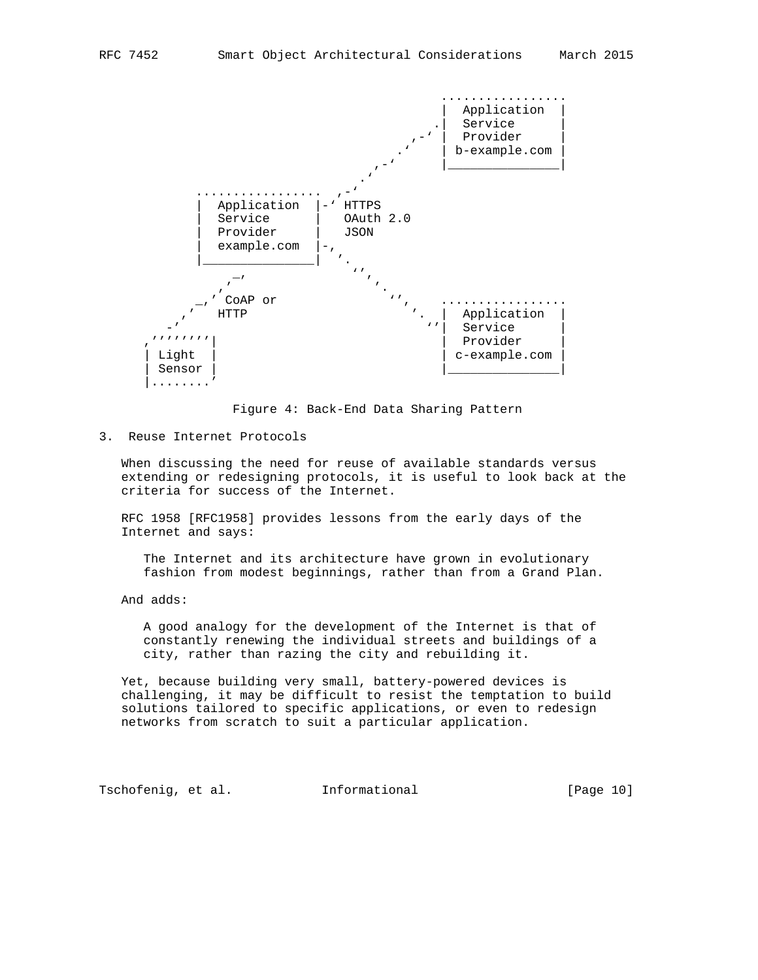

Figure 4: Back-End Data Sharing Pattern

3. Reuse Internet Protocols

 When discussing the need for reuse of available standards versus extending or redesigning protocols, it is useful to look back at the criteria for success of the Internet.

 RFC 1958 [RFC1958] provides lessons from the early days of the Internet and says:

 The Internet and its architecture have grown in evolutionary fashion from modest beginnings, rather than from a Grand Plan.

And adds:

 A good analogy for the development of the Internet is that of constantly renewing the individual streets and buildings of a city, rather than razing the city and rebuilding it.

 Yet, because building very small, battery-powered devices is challenging, it may be difficult to resist the temptation to build solutions tailored to specific applications, or even to redesign networks from scratch to suit a particular application.

Tschofenig, et al. Informational [Page 10]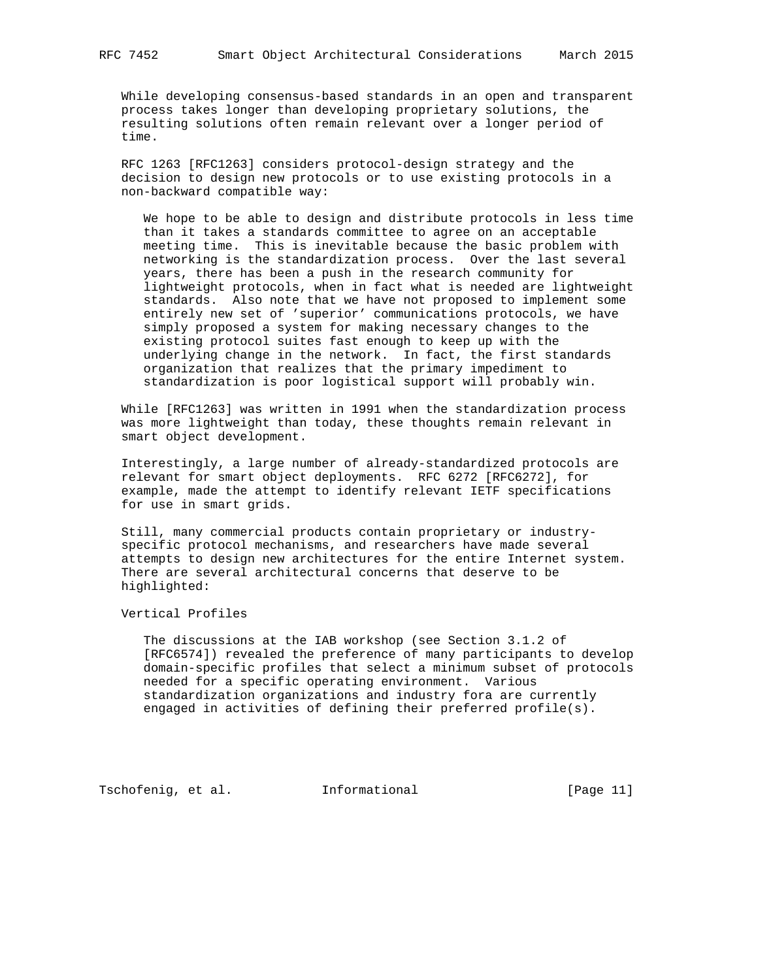While developing consensus-based standards in an open and transparent process takes longer than developing proprietary solutions, the resulting solutions often remain relevant over a longer period of time.

 RFC 1263 [RFC1263] considers protocol-design strategy and the decision to design new protocols or to use existing protocols in a non-backward compatible way:

 We hope to be able to design and distribute protocols in less time than it takes a standards committee to agree on an acceptable meeting time. This is inevitable because the basic problem with networking is the standardization process. Over the last several years, there has been a push in the research community for lightweight protocols, when in fact what is needed are lightweight standards. Also note that we have not proposed to implement some entirely new set of 'superior' communications protocols, we have simply proposed a system for making necessary changes to the existing protocol suites fast enough to keep up with the underlying change in the network. In fact, the first standards organization that realizes that the primary impediment to standardization is poor logistical support will probably win.

 While [RFC1263] was written in 1991 when the standardization process was more lightweight than today, these thoughts remain relevant in smart object development.

 Interestingly, a large number of already-standardized protocols are relevant for smart object deployments. RFC 6272 [RFC6272], for example, made the attempt to identify relevant IETF specifications for use in smart grids.

 Still, many commercial products contain proprietary or industry specific protocol mechanisms, and researchers have made several attempts to design new architectures for the entire Internet system. There are several architectural concerns that deserve to be highlighted:

Vertical Profiles

 The discussions at the IAB workshop (see Section 3.1.2 of [RFC6574]) revealed the preference of many participants to develop domain-specific profiles that select a minimum subset of protocols needed for a specific operating environment. Various standardization organizations and industry fora are currently engaged in activities of defining their preferred profile(s).

Tschofenig, et al. Informational [Page 11]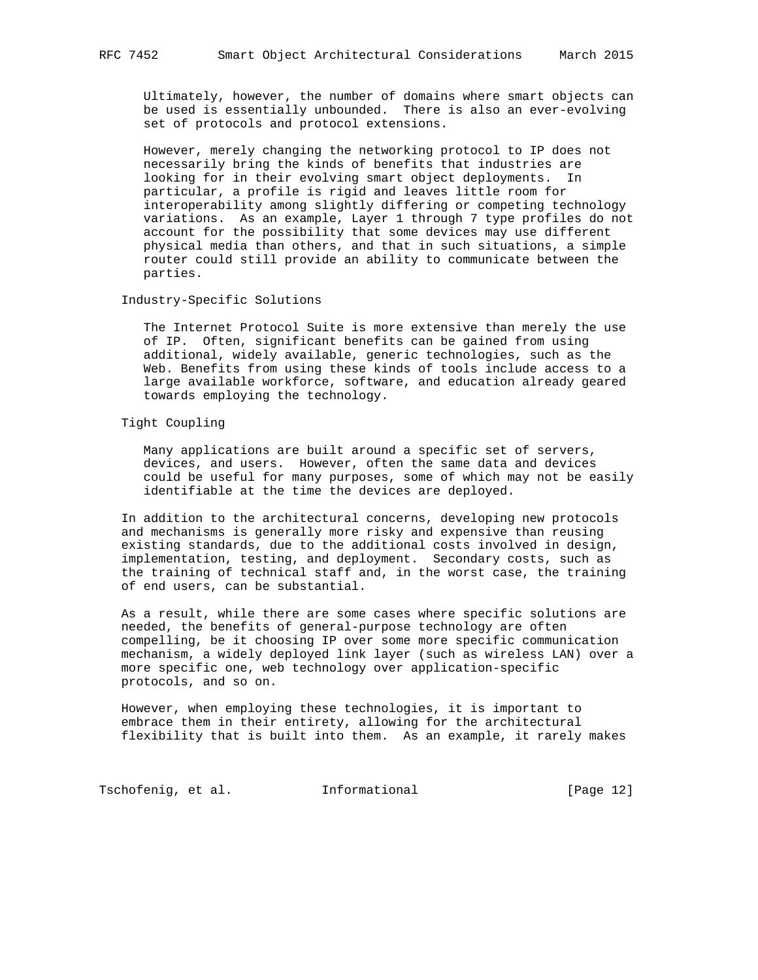Ultimately, however, the number of domains where smart objects can be used is essentially unbounded. There is also an ever-evolving set of protocols and protocol extensions.

 However, merely changing the networking protocol to IP does not necessarily bring the kinds of benefits that industries are looking for in their evolving smart object deployments. In particular, a profile is rigid and leaves little room for interoperability among slightly differing or competing technology variations. As an example, Layer 1 through 7 type profiles do not account for the possibility that some devices may use different physical media than others, and that in such situations, a simple router could still provide an ability to communicate between the parties.

## Industry-Specific Solutions

 The Internet Protocol Suite is more extensive than merely the use of IP. Often, significant benefits can be gained from using additional, widely available, generic technologies, such as the Web. Benefits from using these kinds of tools include access to a large available workforce, software, and education already geared towards employing the technology.

# Tight Coupling

 Many applications are built around a specific set of servers, devices, and users. However, often the same data and devices could be useful for many purposes, some of which may not be easily identifiable at the time the devices are deployed.

 In addition to the architectural concerns, developing new protocols and mechanisms is generally more risky and expensive than reusing existing standards, due to the additional costs involved in design, implementation, testing, and deployment. Secondary costs, such as the training of technical staff and, in the worst case, the training of end users, can be substantial.

 As a result, while there are some cases where specific solutions are needed, the benefits of general-purpose technology are often compelling, be it choosing IP over some more specific communication mechanism, a widely deployed link layer (such as wireless LAN) over a more specific one, web technology over application-specific protocols, and so on.

 However, when employing these technologies, it is important to embrace them in their entirety, allowing for the architectural flexibility that is built into them. As an example, it rarely makes

Tschofenig, et al. 1nformational [Page 12]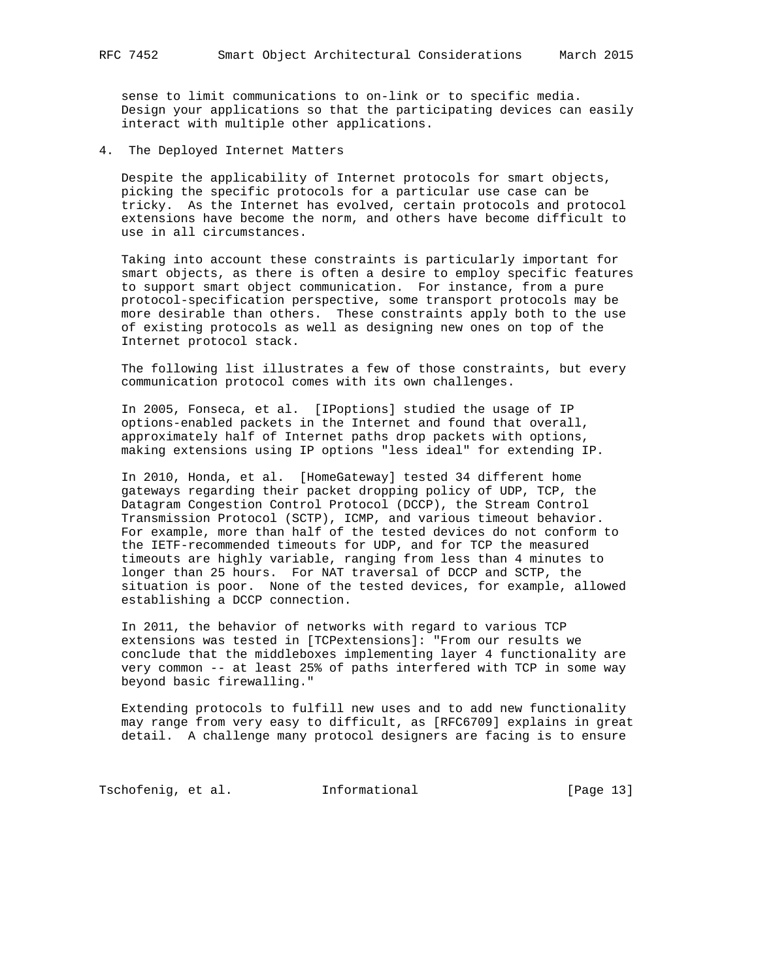sense to limit communications to on-link or to specific media. Design your applications so that the participating devices can easily interact with multiple other applications.

4. The Deployed Internet Matters

 Despite the applicability of Internet protocols for smart objects, picking the specific protocols for a particular use case can be tricky. As the Internet has evolved, certain protocols and protocol extensions have become the norm, and others have become difficult to use in all circumstances.

 Taking into account these constraints is particularly important for smart objects, as there is often a desire to employ specific features to support smart object communication. For instance, from a pure protocol-specification perspective, some transport protocols may be more desirable than others. These constraints apply both to the use of existing protocols as well as designing new ones on top of the Internet protocol stack.

 The following list illustrates a few of those constraints, but every communication protocol comes with its own challenges.

 In 2005, Fonseca, et al. [IPoptions] studied the usage of IP options-enabled packets in the Internet and found that overall, approximately half of Internet paths drop packets with options, making extensions using IP options "less ideal" for extending IP.

 In 2010, Honda, et al. [HomeGateway] tested 34 different home gateways regarding their packet dropping policy of UDP, TCP, the Datagram Congestion Control Protocol (DCCP), the Stream Control Transmission Protocol (SCTP), ICMP, and various timeout behavior. For example, more than half of the tested devices do not conform to the IETF-recommended timeouts for UDP, and for TCP the measured timeouts are highly variable, ranging from less than 4 minutes to longer than 25 hours. For NAT traversal of DCCP and SCTP, the situation is poor. None of the tested devices, for example, allowed establishing a DCCP connection.

 In 2011, the behavior of networks with regard to various TCP extensions was tested in [TCPextensions]: "From our results we conclude that the middleboxes implementing layer 4 functionality are very common -- at least 25% of paths interfered with TCP in some way beyond basic firewalling."

 Extending protocols to fulfill new uses and to add new functionality may range from very easy to difficult, as [RFC6709] explains in great detail. A challenge many protocol designers are facing is to ensure

Tschofenig, et al. 1nformational [Page 13]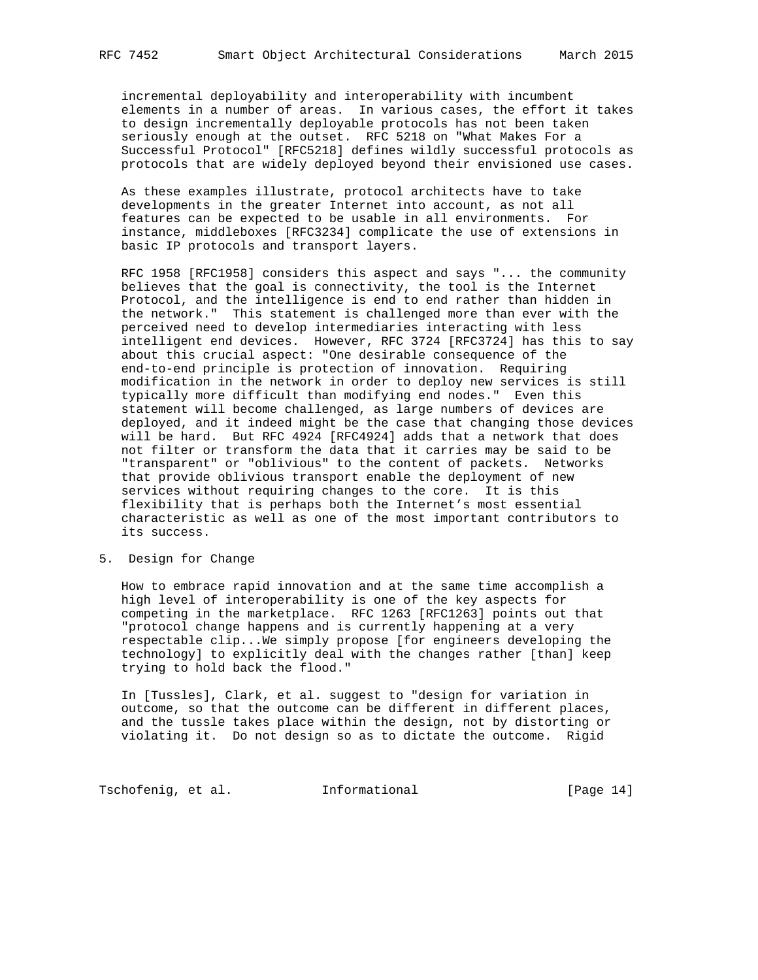incremental deployability and interoperability with incumbent elements in a number of areas. In various cases, the effort it takes to design incrementally deployable protocols has not been taken seriously enough at the outset. RFC 5218 on "What Makes For a Successful Protocol" [RFC5218] defines wildly successful protocols as protocols that are widely deployed beyond their envisioned use cases.

 As these examples illustrate, protocol architects have to take developments in the greater Internet into account, as not all features can be expected to be usable in all environments. For instance, middleboxes [RFC3234] complicate the use of extensions in basic IP protocols and transport layers.

 RFC 1958 [RFC1958] considers this aspect and says "... the community believes that the goal is connectivity, the tool is the Internet Protocol, and the intelligence is end to end rather than hidden in the network." This statement is challenged more than ever with the perceived need to develop intermediaries interacting with less intelligent end devices. However, RFC 3724 [RFC3724] has this to say about this crucial aspect: "One desirable consequence of the end-to-end principle is protection of innovation. Requiring modification in the network in order to deploy new services is still typically more difficult than modifying end nodes." Even this statement will become challenged, as large numbers of devices are deployed, and it indeed might be the case that changing those devices will be hard. But RFC 4924 [RFC4924] adds that a network that does not filter or transform the data that it carries may be said to be "transparent" or "oblivious" to the content of packets. Networks that provide oblivious transport enable the deployment of new services without requiring changes to the core. It is this flexibility that is perhaps both the Internet's most essential characteristic as well as one of the most important contributors to its success.

5. Design for Change

 How to embrace rapid innovation and at the same time accomplish a high level of interoperability is one of the key aspects for competing in the marketplace. RFC 1263 [RFC1263] points out that "protocol change happens and is currently happening at a very respectable clip...We simply propose [for engineers developing the technology] to explicitly deal with the changes rather [than] keep trying to hold back the flood."

 In [Tussles], Clark, et al. suggest to "design for variation in outcome, so that the outcome can be different in different places, and the tussle takes place within the design, not by distorting or violating it. Do not design so as to dictate the outcome. Rigid

Tschofenig, et al. 1nformational [Page 14]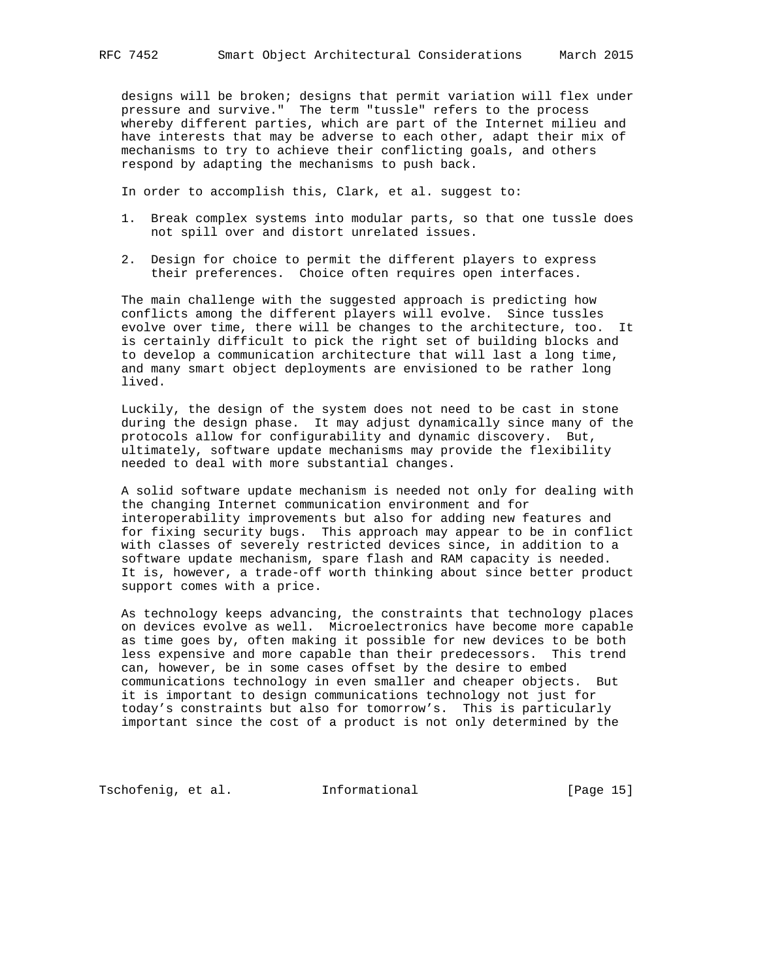designs will be broken; designs that permit variation will flex under pressure and survive." The term "tussle" refers to the process whereby different parties, which are part of the Internet milieu and have interests that may be adverse to each other, adapt their mix of mechanisms to try to achieve their conflicting goals, and others respond by adapting the mechanisms to push back.

In order to accomplish this, Clark, et al. suggest to:

- 1. Break complex systems into modular parts, so that one tussle does not spill over and distort unrelated issues.
- 2. Design for choice to permit the different players to express their preferences. Choice often requires open interfaces.

 The main challenge with the suggested approach is predicting how conflicts among the different players will evolve. Since tussles evolve over time, there will be changes to the architecture, too. It is certainly difficult to pick the right set of building blocks and to develop a communication architecture that will last a long time, and many smart object deployments are envisioned to be rather long lived.

 Luckily, the design of the system does not need to be cast in stone during the design phase. It may adjust dynamically since many of the protocols allow for configurability and dynamic discovery. But, ultimately, software update mechanisms may provide the flexibility needed to deal with more substantial changes.

 A solid software update mechanism is needed not only for dealing with the changing Internet communication environment and for interoperability improvements but also for adding new features and for fixing security bugs. This approach may appear to be in conflict with classes of severely restricted devices since, in addition to a software update mechanism, spare flash and RAM capacity is needed. It is, however, a trade-off worth thinking about since better product support comes with a price.

 As technology keeps advancing, the constraints that technology places on devices evolve as well. Microelectronics have become more capable as time goes by, often making it possible for new devices to be both less expensive and more capable than their predecessors. This trend can, however, be in some cases offset by the desire to embed communications technology in even smaller and cheaper objects. But it is important to design communications technology not just for today's constraints but also for tomorrow's. This is particularly important since the cost of a product is not only determined by the

Tschofenig, et al. 1nformational [Page 15]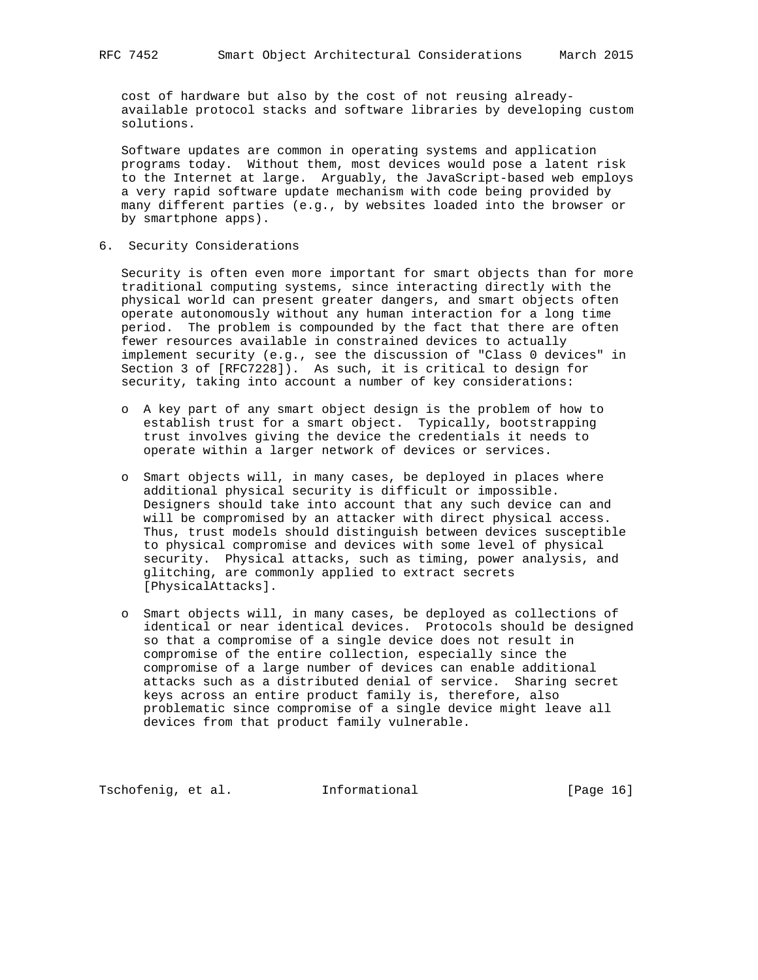cost of hardware but also by the cost of not reusing already available protocol stacks and software libraries by developing custom solutions.

 Software updates are common in operating systems and application programs today. Without them, most devices would pose a latent risk to the Internet at large. Arguably, the JavaScript-based web employs a very rapid software update mechanism with code being provided by many different parties (e.g., by websites loaded into the browser or by smartphone apps).

6. Security Considerations

 Security is often even more important for smart objects than for more traditional computing systems, since interacting directly with the physical world can present greater dangers, and smart objects often operate autonomously without any human interaction for a long time period. The problem is compounded by the fact that there are often fewer resources available in constrained devices to actually implement security (e.g., see the discussion of "Class 0 devices" in Section 3 of [RFC7228]). As such, it is critical to design for security, taking into account a number of key considerations:

- o A key part of any smart object design is the problem of how to establish trust for a smart object. Typically, bootstrapping trust involves giving the device the credentials it needs to operate within a larger network of devices or services.
- o Smart objects will, in many cases, be deployed in places where additional physical security is difficult or impossible. Designers should take into account that any such device can and will be compromised by an attacker with direct physical access. Thus, trust models should distinguish between devices susceptible to physical compromise and devices with some level of physical security. Physical attacks, such as timing, power analysis, and glitching, are commonly applied to extract secrets [PhysicalAttacks].
- o Smart objects will, in many cases, be deployed as collections of identical or near identical devices. Protocols should be designed so that a compromise of a single device does not result in compromise of the entire collection, especially since the compromise of a large number of devices can enable additional attacks such as a distributed denial of service. Sharing secret keys across an entire product family is, therefore, also problematic since compromise of a single device might leave all devices from that product family vulnerable.

Tschofenig, et al. 1nformational [Page 16]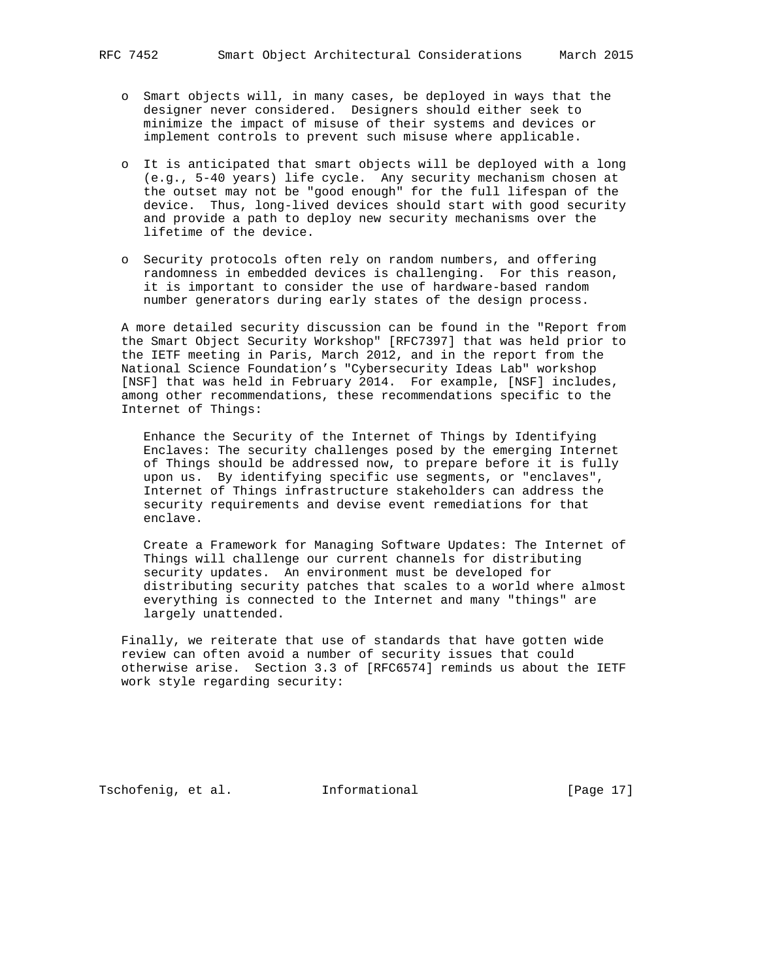- o Smart objects will, in many cases, be deployed in ways that the designer never considered. Designers should either seek to minimize the impact of misuse of their systems and devices or implement controls to prevent such misuse where applicable.
- o It is anticipated that smart objects will be deployed with a long (e.g., 5-40 years) life cycle. Any security mechanism chosen at the outset may not be "good enough" for the full lifespan of the device. Thus, long-lived devices should start with good security and provide a path to deploy new security mechanisms over the lifetime of the device.
- o Security protocols often rely on random numbers, and offering randomness in embedded devices is challenging. For this reason, it is important to consider the use of hardware-based random number generators during early states of the design process.

 A more detailed security discussion can be found in the "Report from the Smart Object Security Workshop" [RFC7397] that was held prior to the IETF meeting in Paris, March 2012, and in the report from the National Science Foundation's "Cybersecurity Ideas Lab" workshop [NSF] that was held in February 2014. For example, [NSF] includes, among other recommendations, these recommendations specific to the Internet of Things:

 Enhance the Security of the Internet of Things by Identifying Enclaves: The security challenges posed by the emerging Internet of Things should be addressed now, to prepare before it is fully upon us. By identifying specific use segments, or "enclaves", Internet of Things infrastructure stakeholders can address the security requirements and devise event remediations for that enclave.

 Create a Framework for Managing Software Updates: The Internet of Things will challenge our current channels for distributing security updates. An environment must be developed for distributing security patches that scales to a world where almost everything is connected to the Internet and many "things" are largely unattended.

 Finally, we reiterate that use of standards that have gotten wide review can often avoid a number of security issues that could otherwise arise. Section 3.3 of [RFC6574] reminds us about the IETF work style regarding security:

Tschofenig, et al. Informational [Page 17]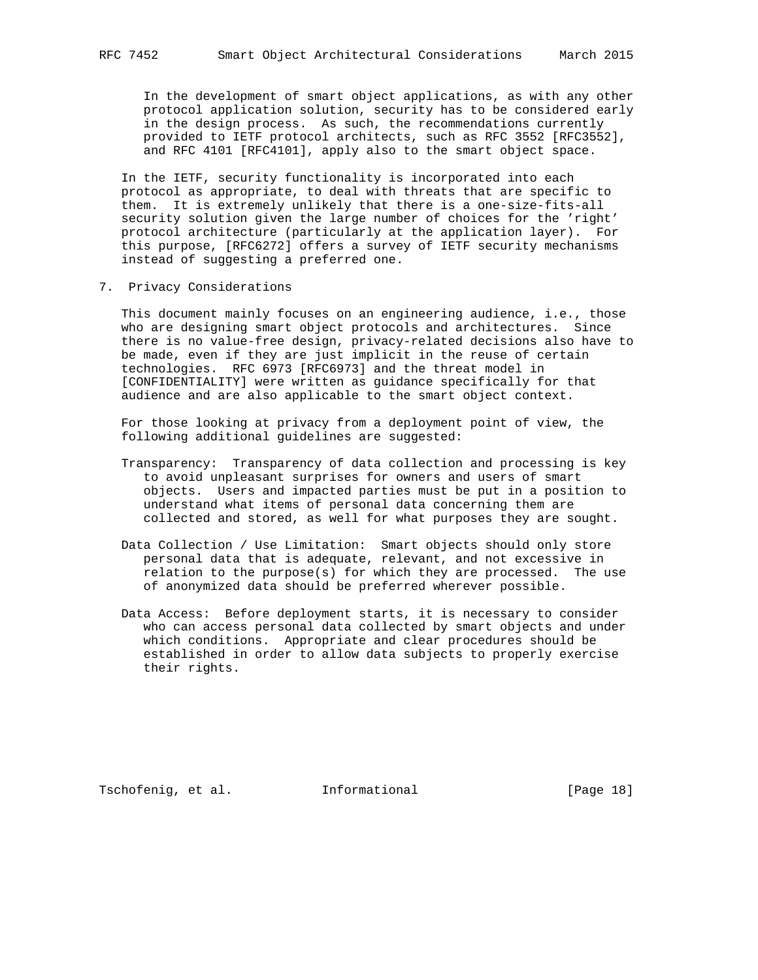In the development of smart object applications, as with any other protocol application solution, security has to be considered early in the design process. As such, the recommendations currently provided to IETF protocol architects, such as RFC 3552 [RFC3552], and RFC 4101 [RFC4101], apply also to the smart object space.

 In the IETF, security functionality is incorporated into each protocol as appropriate, to deal with threats that are specific to them. It is extremely unlikely that there is a one-size-fits-all security solution given the large number of choices for the 'right' protocol architecture (particularly at the application layer). For this purpose, [RFC6272] offers a survey of IETF security mechanisms instead of suggesting a preferred one.

7. Privacy Considerations

 This document mainly focuses on an engineering audience, i.e., those who are designing smart object protocols and architectures. Since there is no value-free design, privacy-related decisions also have to be made, even if they are just implicit in the reuse of certain technologies. RFC 6973 [RFC6973] and the threat model in [CONFIDENTIALITY] were written as guidance specifically for that audience and are also applicable to the smart object context.

 For those looking at privacy from a deployment point of view, the following additional guidelines are suggested:

- Transparency: Transparency of data collection and processing is key to avoid unpleasant surprises for owners and users of smart objects. Users and impacted parties must be put in a position to understand what items of personal data concerning them are collected and stored, as well for what purposes they are sought.
- Data Collection / Use Limitation: Smart objects should only store personal data that is adequate, relevant, and not excessive in relation to the purpose(s) for which they are processed. The use of anonymized data should be preferred wherever possible.
- Data Access: Before deployment starts, it is necessary to consider who can access personal data collected by smart objects and under which conditions. Appropriate and clear procedures should be established in order to allow data subjects to properly exercise their rights.

Tschofenig, et al. Informational [Page 18]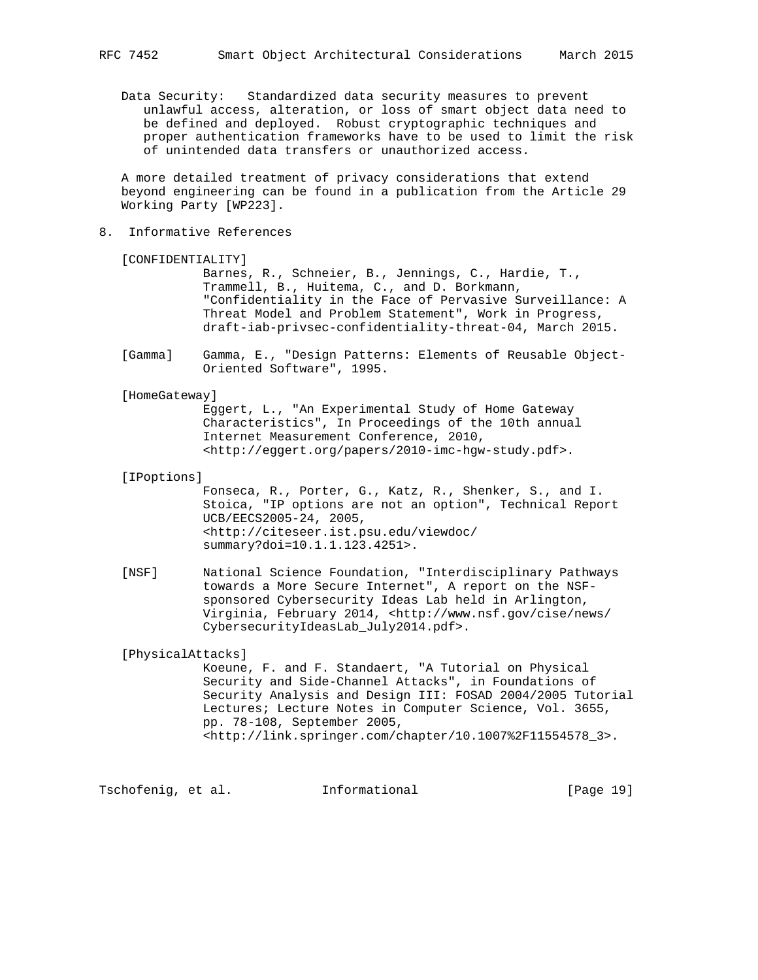Data Security: Standardized data security measures to prevent unlawful access, alteration, or loss of smart object data need to be defined and deployed. Robust cryptographic techniques and proper authentication frameworks have to be used to limit the risk of unintended data transfers or unauthorized access.

 A more detailed treatment of privacy considerations that extend beyond engineering can be found in a publication from the Article 29 Working Party [WP223].

8. Informative References

```
 [CONFIDENTIALITY]
```
 Barnes, R., Schneier, B., Jennings, C., Hardie, T., Trammell, B., Huitema, C., and D. Borkmann, "Confidentiality in the Face of Pervasive Surveillance: A Threat Model and Problem Statement", Work in Progress, draft-iab-privsec-confidentiality-threat-04, March 2015.

 [Gamma] Gamma, E., "Design Patterns: Elements of Reusable Object- Oriented Software", 1995.

[HomeGateway]

 Eggert, L., "An Experimental Study of Home Gateway Characteristics", In Proceedings of the 10th annual Internet Measurement Conference, 2010, <http://eggert.org/papers/2010-imc-hgw-study.pdf>.

#### [IPoptions]

 Fonseca, R., Porter, G., Katz, R., Shenker, S., and I. Stoica, "IP options are not an option", Technical Report UCB/EECS2005-24, 2005, <http://citeseer.ist.psu.edu/viewdoc/ summary?doi=10.1.1.123.4251>.

 [NSF] National Science Foundation, "Interdisciplinary Pathways towards a More Secure Internet", A report on the NSF sponsored Cybersecurity Ideas Lab held in Arlington, Virginia, February 2014, <http://www.nsf.gov/cise/news/ CybersecurityIdeasLab\_July2014.pdf>.

[PhysicalAttacks]

 Koeune, F. and F. Standaert, "A Tutorial on Physical Security and Side-Channel Attacks", in Foundations of Security Analysis and Design III: FOSAD 2004/2005 Tutorial Lectures; Lecture Notes in Computer Science, Vol. 3655, pp. 78-108, September 2005, <http://link.springer.com/chapter/10.1007%2F11554578\_3>.

Tschofenig, et al. Informational [Page 19]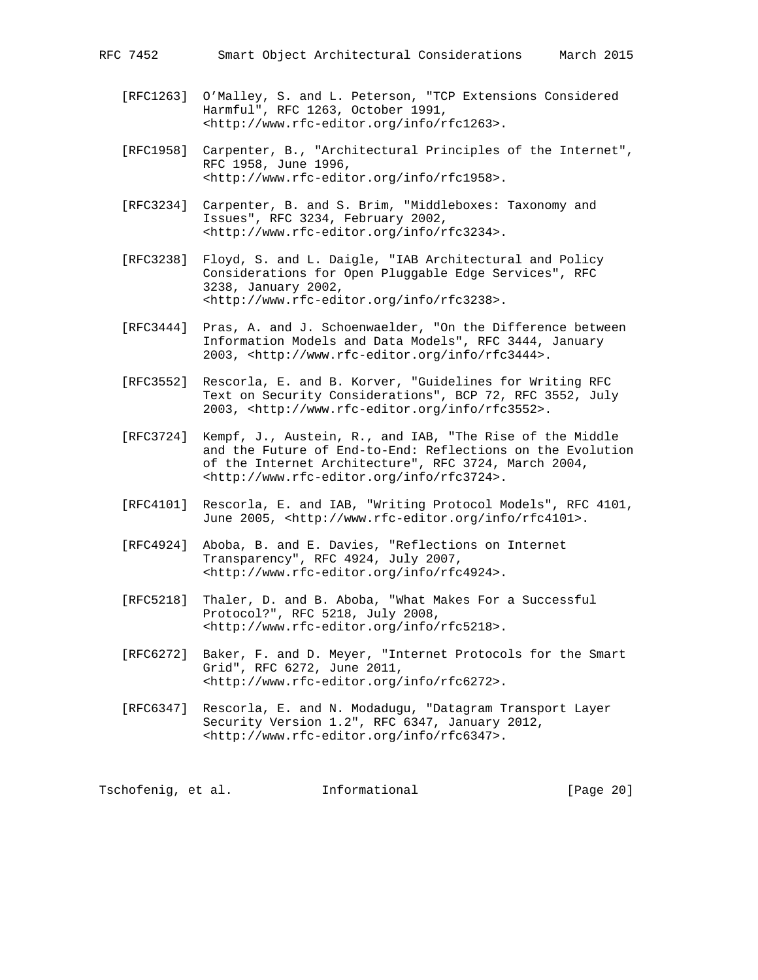- [RFC1263] O'Malley, S. and L. Peterson, "TCP Extensions Considered Harmful", RFC 1263, October 1991, <http://www.rfc-editor.org/info/rfc1263>.
- [RFC1958] Carpenter, B., "Architectural Principles of the Internet", RFC 1958, June 1996, <http://www.rfc-editor.org/info/rfc1958>.
- [RFC3234] Carpenter, B. and S. Brim, "Middleboxes: Taxonomy and Issues", RFC 3234, February 2002, <http://www.rfc-editor.org/info/rfc3234>.
- [RFC3238] Floyd, S. and L. Daigle, "IAB Architectural and Policy Considerations for Open Pluggable Edge Services", RFC 3238, January 2002, <http://www.rfc-editor.org/info/rfc3238>.
- [RFC3444] Pras, A. and J. Schoenwaelder, "On the Difference between Information Models and Data Models", RFC 3444, January 2003, <http://www.rfc-editor.org/info/rfc3444>.
- [RFC3552] Rescorla, E. and B. Korver, "Guidelines for Writing RFC Text on Security Considerations", BCP 72, RFC 3552, July 2003, <http://www.rfc-editor.org/info/rfc3552>.
- [RFC3724] Kempf, J., Austein, R., and IAB, "The Rise of the Middle and the Future of End-to-End: Reflections on the Evolution of the Internet Architecture", RFC 3724, March 2004, <http://www.rfc-editor.org/info/rfc3724>.
- [RFC4101] Rescorla, E. and IAB, "Writing Protocol Models", RFC 4101, June 2005, <http://www.rfc-editor.org/info/rfc4101>.
- [RFC4924] Aboba, B. and E. Davies, "Reflections on Internet Transparency", RFC 4924, July 2007, <http://www.rfc-editor.org/info/rfc4924>.
- [RFC5218] Thaler, D. and B. Aboba, "What Makes For a Successful Protocol?", RFC 5218, July 2008, <http://www.rfc-editor.org/info/rfc5218>.
- [RFC6272] Baker, F. and D. Meyer, "Internet Protocols for the Smart Grid", RFC 6272, June 2011, <http://www.rfc-editor.org/info/rfc6272>.
- [RFC6347] Rescorla, E. and N. Modadugu, "Datagram Transport Layer Security Version 1.2", RFC 6347, January 2012, <http://www.rfc-editor.org/info/rfc6347>.

Tschofenig, et al. 1nformational [Page 20]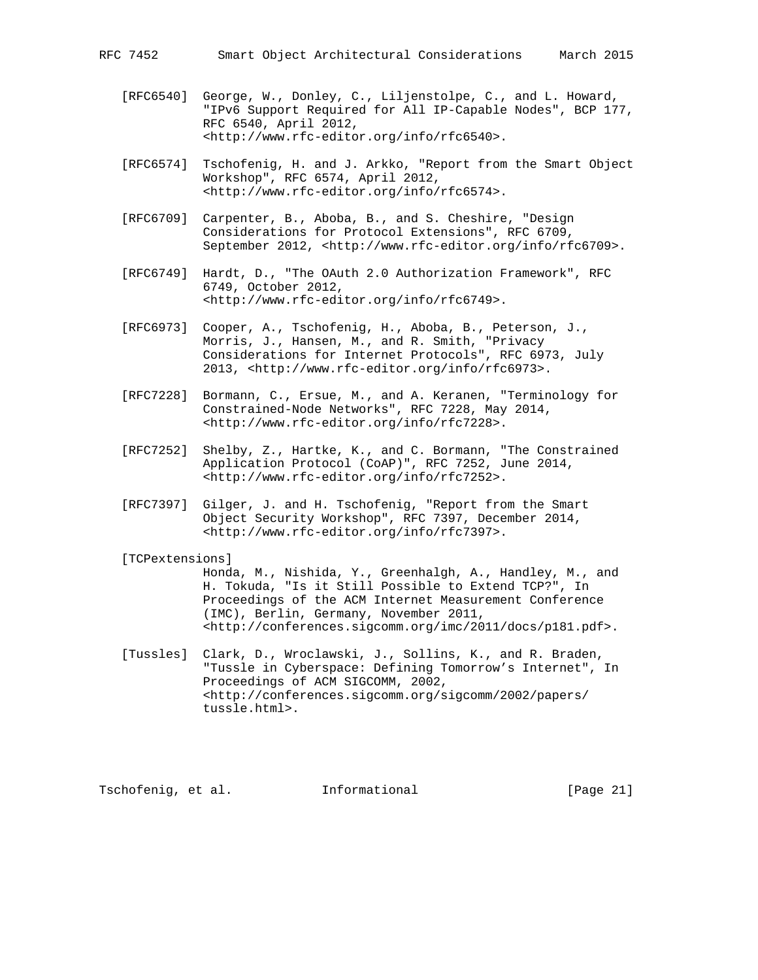- 
- [RFC6540] George, W., Donley, C., Liljenstolpe, C., and L. Howard, "IPv6 Support Required for All IP-Capable Nodes", BCP 177, RFC 6540, April 2012, <http://www.rfc-editor.org/info/rfc6540>.
- [RFC6574] Tschofenig, H. and J. Arkko, "Report from the Smart Object Workshop", RFC 6574, April 2012, <http://www.rfc-editor.org/info/rfc6574>.
- [RFC6709] Carpenter, B., Aboba, B., and S. Cheshire, "Design Considerations for Protocol Extensions", RFC 6709, September 2012, <http://www.rfc-editor.org/info/rfc6709>.
- [RFC6749] Hardt, D., "The OAuth 2.0 Authorization Framework", RFC 6749, October 2012, <http://www.rfc-editor.org/info/rfc6749>.
- [RFC6973] Cooper, A., Tschofenig, H., Aboba, B., Peterson, J., Morris, J., Hansen, M., and R. Smith, "Privacy Considerations for Internet Protocols", RFC 6973, July 2013, <http://www.rfc-editor.org/info/rfc6973>.
- [RFC7228] Bormann, C., Ersue, M., and A. Keranen, "Terminology for Constrained-Node Networks", RFC 7228, May 2014, <http://www.rfc-editor.org/info/rfc7228>.
- [RFC7252] Shelby, Z., Hartke, K., and C. Bormann, "The Constrained Application Protocol (CoAP)", RFC 7252, June 2014, <http://www.rfc-editor.org/info/rfc7252>.
- [RFC7397] Gilger, J. and H. Tschofenig, "Report from the Smart Object Security Workshop", RFC 7397, December 2014, <http://www.rfc-editor.org/info/rfc7397>.

## [TCPextensions]

 Honda, M., Nishida, Y., Greenhalgh, A., Handley, M., and H. Tokuda, "Is it Still Possible to Extend TCP?", In Proceedings of the ACM Internet Measurement Conference (IMC), Berlin, Germany, November 2011, <http://conferences.sigcomm.org/imc/2011/docs/p181.pdf>.

 [Tussles] Clark, D., Wroclawski, J., Sollins, K., and R. Braden, "Tussle in Cyberspace: Defining Tomorrow's Internet", In Proceedings of ACM SIGCOMM, 2002, <http://conferences.sigcomm.org/sigcomm/2002/papers/ tussle.html>.

Tschofenig, et al. Informational [Page 21]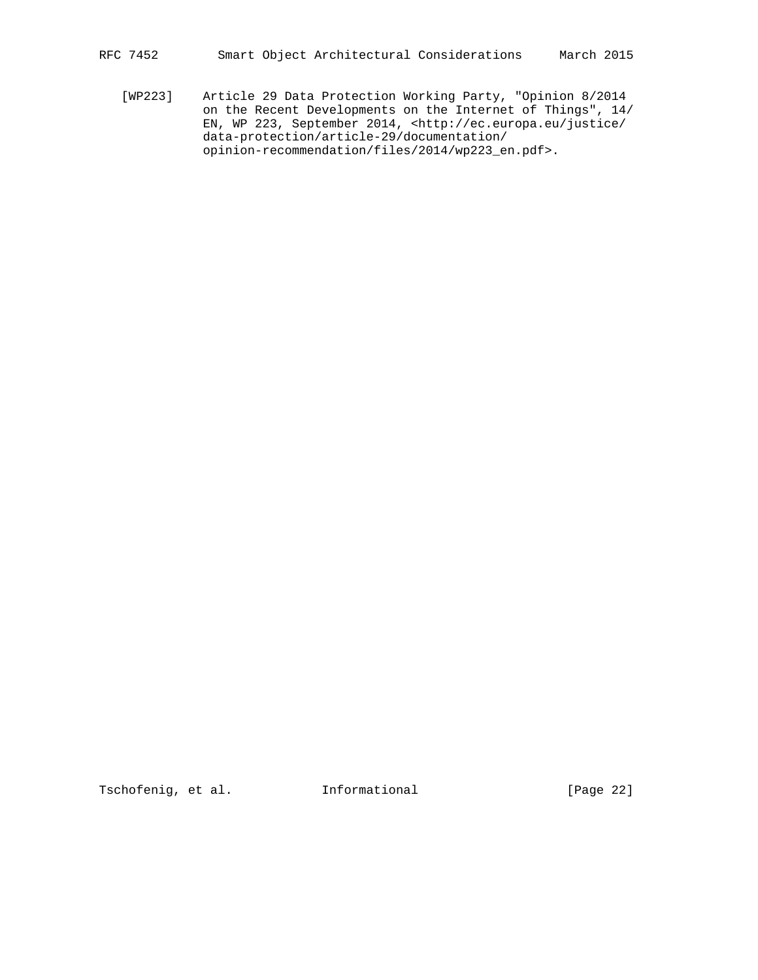RFC 7452 Smart Object Architectural Considerations March 2015

 [WP223] Article 29 Data Protection Working Party, "Opinion 8/2014 on the Recent Developments on the Internet of Things", 14/ EN, WP 223, September 2014, <http://ec.europa.eu/justice/ data-protection/article-29/documentation/ opinion-recommendation/files/2014/wp223\_en.pdf>.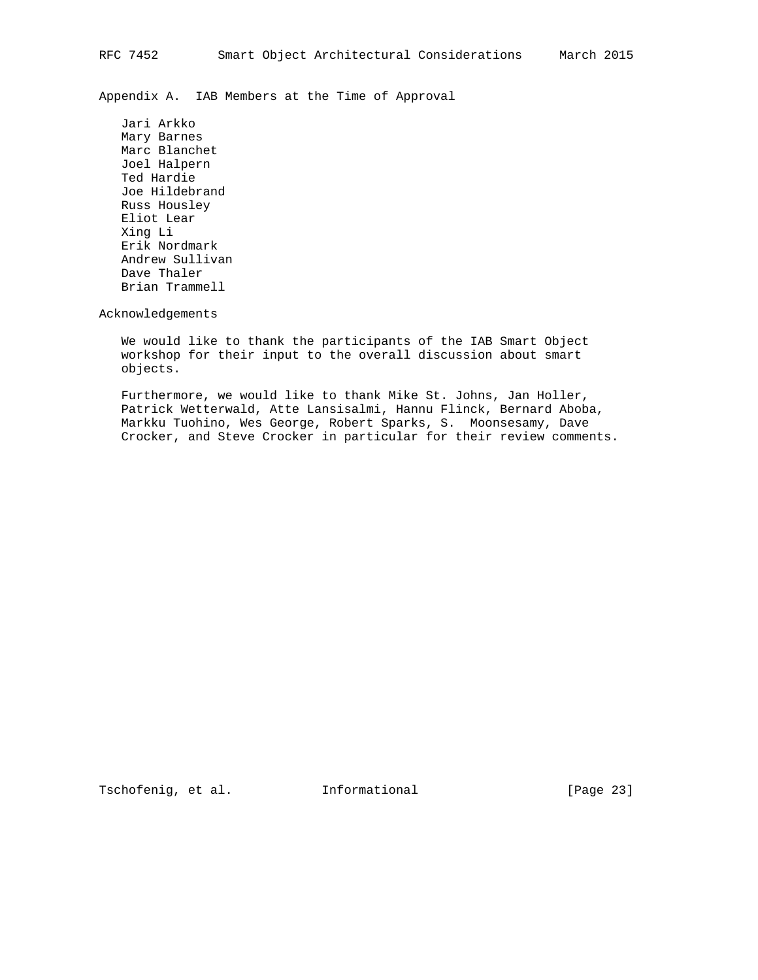Appendix A. IAB Members at the Time of Approval

 Jari Arkko Mary Barnes Marc Blanchet Joel Halpern Ted Hardie Joe Hildebrand Russ Housley Eliot Lear Xing Li Erik Nordmark Andrew Sullivan Dave Thaler Brian Trammell

Acknowledgements

 We would like to thank the participants of the IAB Smart Object workshop for their input to the overall discussion about smart objects.

 Furthermore, we would like to thank Mike St. Johns, Jan Holler, Patrick Wetterwald, Atte Lansisalmi, Hannu Flinck, Bernard Aboba, Markku Tuohino, Wes George, Robert Sparks, S. Moonsesamy, Dave Crocker, and Steve Crocker in particular for their review comments.

Tschofenig, et al. Informational [Page 23]